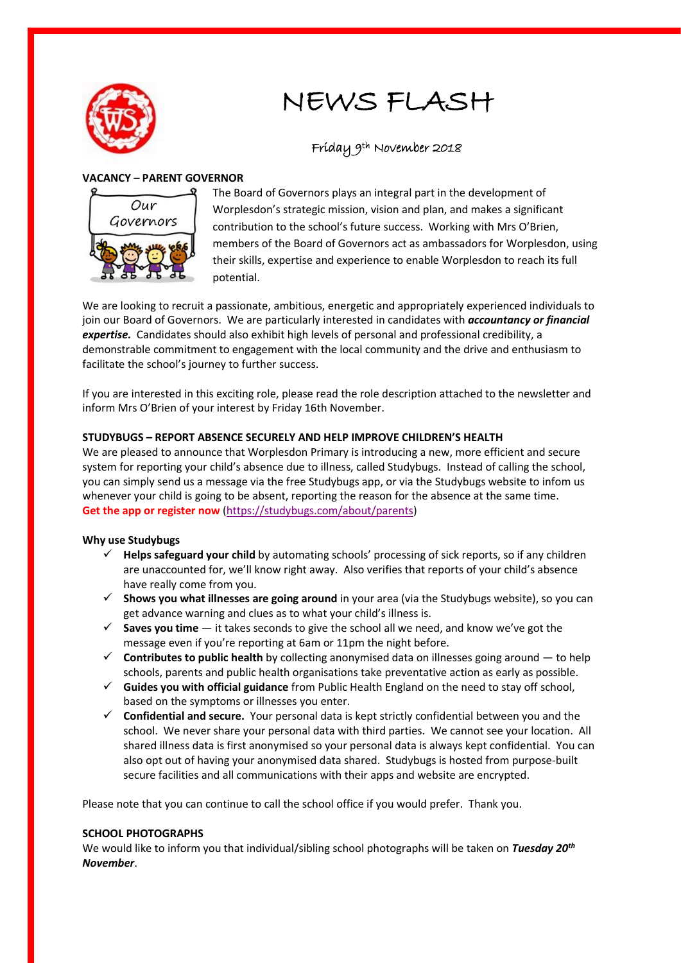

# NEWS FLASH

# Friday 9th November 2018

# **VACANCY – PARENT GOVERNOR**



The Board of Governors plays an integral part in the development of Worplesdon's strategic mission, vision and plan, and makes a significant contribution to the school's future success. Working with Mrs O'Brien, members of the Board of Governors act as ambassadors for Worplesdon, using their skills, expertise and experience to enable Worplesdon to reach its full potential.

We are looking to recruit a passionate, ambitious, energetic and appropriately experienced individuals to join our Board of Governors. We are particularly interested in candidates with *accountancy or financial expertise.* Candidates should also exhibit high levels of personal and professional credibility, a demonstrable commitment to engagement with the local community and the drive and enthusiasm to facilitate the school's journey to further success.

If you are interested in this exciting role, please read the role description attached to the newsletter and inform Mrs O'Brien of your interest by Friday 16th November.

# **STUDYBUGS – REPORT ABSENCE SECURELY AND HELP IMPROVE CHILDREN'S HEALTH**

We are pleased to announce that Worplesdon Primary is introducing a new, more efficient and secure system for reporting your child's absence due to illness, called Studybugs. Instead of calling the school, you can simply send us a message via the free Studybugs app, or via the Studybugs website to infom us whenever your child is going to be absent, reporting the reason for the absence at the same time. **[Get the app or register now](https://studybugs.com/about/parents)** [\(https://studybugs.com/about/parents\)](https://studybugs.com/about/parents)

# **Why use Studybugs**

- **Helps safeguard your child** by automating schools' processing of sick reports, so if any children are unaccounted for, we'll know right away. Also verifies that reports of your child's absence have really come from you.
- **Shows you what illnesses are going around** in your area (via the Studybugs website), so you can get advance warning and clues as to what your child's illness is.
- **Saves you time** it takes seconds to give the school all we need, and know we've got the message even if you're reporting at 6am or 11pm the night before.
- **Contributes to public health** by collecting anonymised data on illnesses going around to help schools, parents and public health organisations take preventative action as early as possible.
- **Guides you with official guidance** from Public Health England on the need to stay off school, based on the symptoms or illnesses you enter.
- **Confidential and secure.** Your personal data is kept strictly confidential between you and the school. We never share your personal data with third parties. We cannot see your location. All shared illness data is first anonymised so your personal data is always kept confidential. You can also opt out of having your anonymised data shared. Studybugs is hosted from purpose-built secure facilities and all communications with their apps and website are encrypted.

Please note that you can continue to call the school office if you would prefer. Thank you.

#### **SCHOOL PHOTOGRAPHS**

We would like to inform you that individual/sibling school photographs will be taken on *Tuesday 20th November*.